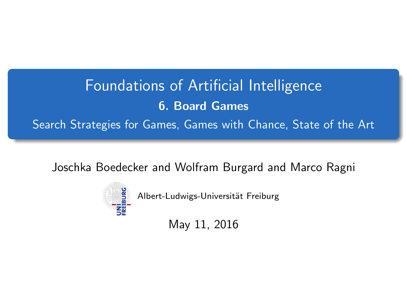## <span id="page-0-0"></span>Foundations of Artificial Intelligence 6. Board Games Search Strategies for Games, Games with Chance, State of the Art

Joschka Boedecker and Wolfram Burgard and Marco Ragni



Albert-Ludwigs-Universität Freiburg

May 11, 2016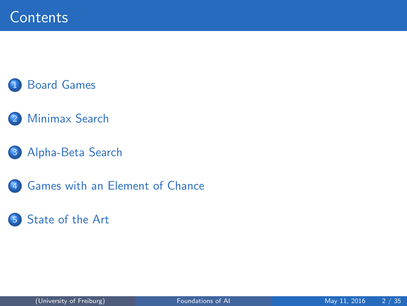#### **[Board Games](#page-2-0)**

- [Minimax Search](#page-4-0)
- 3 [Alpha-Beta Search](#page-9-0)
- 4 [Games with an Element of Chance](#page-27-0)

#### 5 [State of the Art](#page-32-0)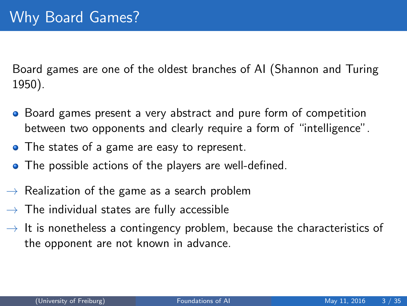<span id="page-2-0"></span>Board games are one of the oldest branches of AI (Shannon and Turing 1950).

- Board games present a very abstract and pure form of competition between two opponents and clearly require a form of "intelligence".
- The states of a game are easy to represent.
- The possible actions of the players are well-defined.
- $\rightarrow$  Realization of the game as a search problem
- $\rightarrow$  The individual states are fully accessible
- $\rightarrow$  It is nonetheless a contingency problem, because the characteristics of the opponent are not known in advance.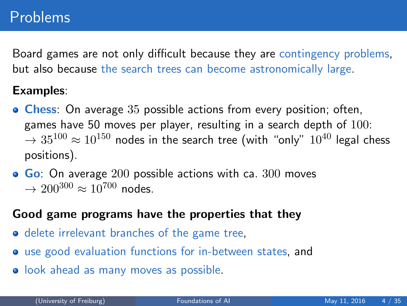Board games are not only difficult because they are contingency problems, but also because the search trees can become astronomically large.

#### Examples:

- **Chess:** On average 35 possible actions from every position; often, games have 50 moves per player, resulting in a search depth of  $100$ :  $\rightarrow 35^{100} \approx 10^{150}$  nodes in the search tree (with "only"  $10^{40}$  legal chess positions).
- $\bullet$  Go: On average 200 possible actions with ca. 300 moves  $\rightarrow 200^{300} \approx 10^{700}$  nodes.

#### Good game programs have the properties that they

- delete irrelevant branches of the game tree,
- use good evaluation functions for in-between states, and
- **•** look ahead as many moves as possible.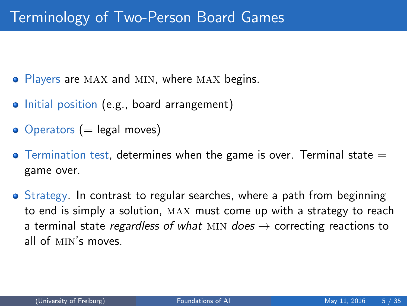- <span id="page-4-0"></span>• Players are MAX and MIN, where MAX begins.
- Initial position (e.g., board arrangement)
- $\bullet$  Operators (= legal moves)
- $\bullet$  Termination test, determines when the game is over. Terminal state  $=$ game over.
- Strategy. In contrast to regular searches, where a path from beginning to end is simply a solution, max must come up with a strategy to reach a terminal state regardless of what MIN does  $\rightarrow$  correcting reactions to all of min's moves.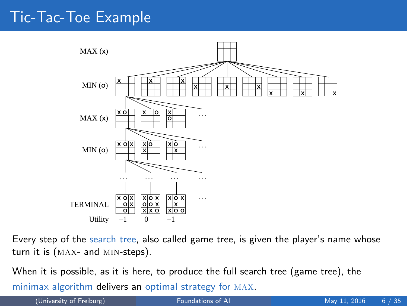#### Tic-Tac-Toe Example



Every step of the search tree, also called game tree, is given the player's name whose turn it is (max- and min-steps).

When it is possible, as it is here, to produce the full search tree (game tree), the minimax algorithm delivers an optimal strategy for max.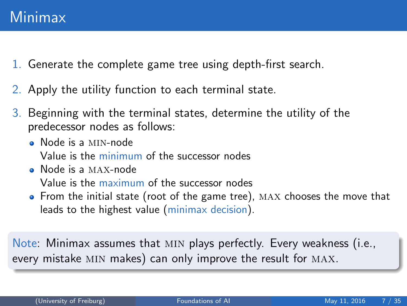- 1. Generate the complete game tree using depth-first search.
- 2. Apply the utility function to each terminal state.
- 3. Beginning with the terminal states, determine the utility of the predecessor nodes as follows:
	- Node is a min-node Value is the minimum of the successor nodes
	- Node is a max-node Value is the maximum of the successor nodes
	- From the initial state (root of the game tree), MAX chooses the move that leads to the highest value (minimax decision).

Note: Minimax assumes that min plays perfectly. Every weakness (i.e., every mistake MIN makes) can only improve the result for MAX.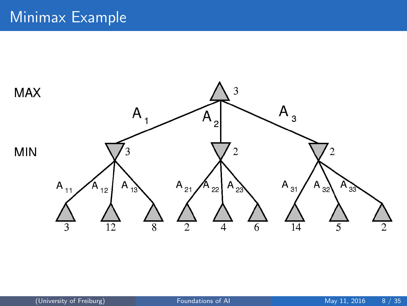#### Minimax Example

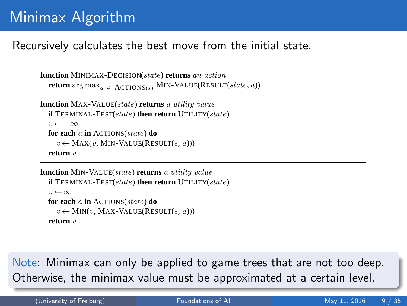## Minimax Algorithm

#### Recursively calculates the best move from the initial state.

```
function MINIMAX-DECISION(state) returns an action
return \arg \max_{a \in \text{ACTIONS}(s)} \text{MIN-VALUE}(\text{RESULT}(state, a))
```

```
function MAX-VALUE(state) returns a utility value
if TERMINAL-TEST(state) then return UTILITY(state)
 v \leftarrow -\inftyfor each a in ACTIONS(state) do
   v \leftarrow \text{MAX}(v, \text{MIN-VALUE}(\text{RESULT}(s, a)))return v
```

```
function MIN-VALUE(state) returns a utility value
if TERMINAL-TEST(state) then return UTILITY(state)
 v \leftarrow \inftyfor each a in ACTIONS(state) do
   v \leftarrow \text{MIN}(v, \text{MAX-VALUE}(\text{RESULT}(s, a)))return v
```
to the best possible move, that is, the move that leads to the outcome with the best utility, under the  $\overline{\mathsf{Note}}$ : Minimax can only be applied to game trees that are not too deep. Otherwise, the minimax value must be approximated at a certain level.  $T$  for argument argument argument as  $\mathcal{S}$  that has the maximum value of  $\mathcal{S}$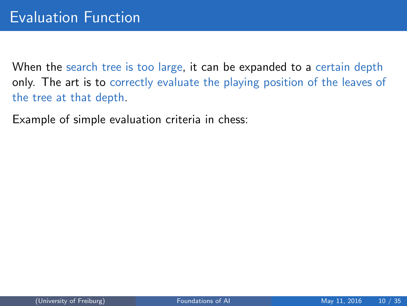<span id="page-9-0"></span>When the search tree is too large, it can be expanded to a certain depth only. The art is to correctly evaluate the playing position of the leaves of the tree at that depth.

Example of simple evaluation criteria in chess: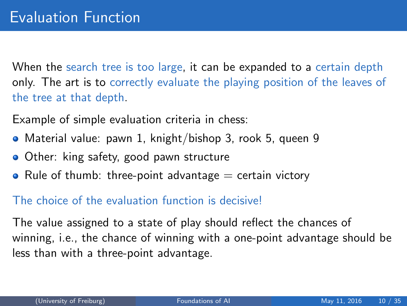When the search tree is too large, it can be expanded to a certain depth only. The art is to correctly evaluate the playing position of the leaves of the tree at that depth.

Example of simple evaluation criteria in chess:

- Material value: pawn 1, knight/bishop 3, rook 5, queen 9
- **Other:** king safety, good pawn structure
- Rule of thumb: three-point advantage  $=$  certain victory

#### The choice of the evaluation function is decisive!

The value assigned to a state of play should reflect the chances of winning, i.e., the chance of winning with a one-point advantage should be less than with a three-point advantage.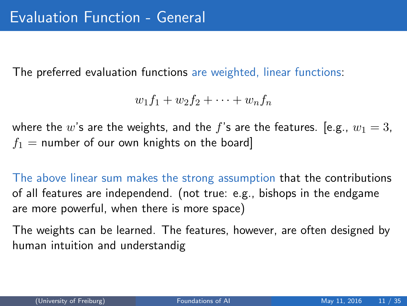The preferred evaluation functions are weighted, linear functions:

$$
w_1f_1+w_2f_2+\cdots+w_nf_n
$$

where the w's are the weights, and the f's are the features. [e.g.,  $w_1 = 3$ ,  $f_1$  = number of our own knights on the board]

The above linear sum makes the strong assumption that the contributions of all features are independend. (not true: e.g., bishops in the endgame are more powerful, when there is more space)

The weights can be learned. The features, however, are often designed by human intuition and understandig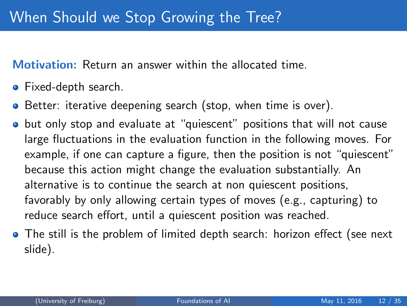Motivation: Return an answer within the allocated time.

- Fixed-depth search.
- **•** Better: iterative deepening search (stop, when time is over).
- **•** but only stop and evaluate at "quiescent" positions that will not cause large fluctuations in the evaluation function in the following moves. For example, if one can capture a figure, then the position is not "quiescent" because this action might change the evaluation substantially. An alternative is to continue the search at non quiescent positions, favorably by only allowing certain types of moves (e.g., capturing) to reduce search effort, until a quiescent position was reached.
- The still is the problem of limited depth search: horizon effect (see next slide).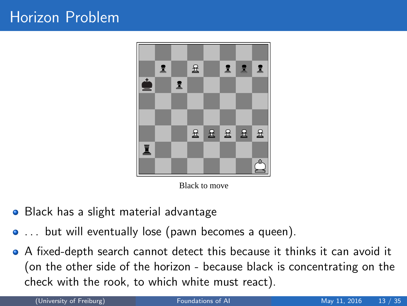

Black to move

- Black has a slight material advantage  $\bullet$
- ... but will eventually lose (pawn becomes a queen).
- A fixed-depth search cannot detect this because it thinks it can avoid it (on the other side of the horizon - because black is concentrating on the check with the rook, to which white must react).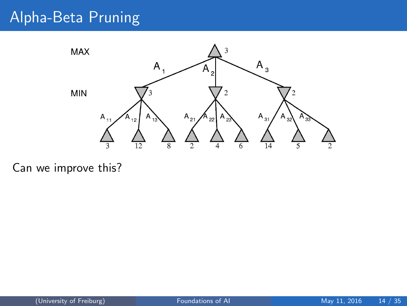## Alpha-Beta Pruning



Can we improve this?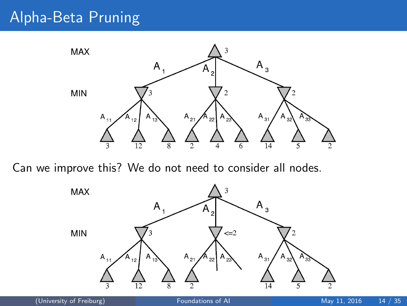## Alpha-Beta Pruning



Can we improve this? We do not need to consider all nodes.

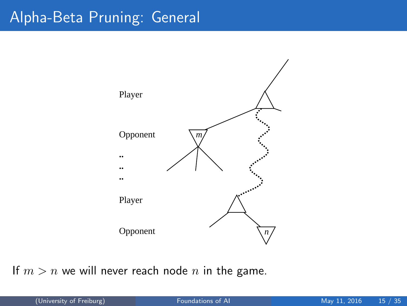## Alpha-Beta Pruning: General



If  $m > n$  we will never reach node n in the game.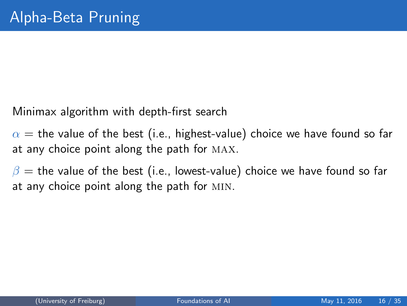Minimax algorithm with depth-first search

 $\alpha$  = the value of the best (i.e., highest-value) choice we have found so far at any choice point along the path for max.

 $\beta$  = the value of the best (i.e., lowest-value) choice we have found so far at any choice point along the path for min.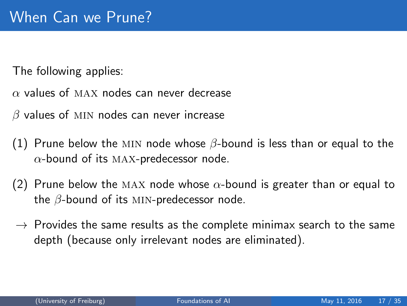The following applies:

 $\alpha$  values of MAX nodes can never decrease

 $\beta$  values of MIN nodes can never increase

- (1) Prune below the MIN node whose  $\beta$ -bound is less than or equal to the  $\alpha$ -bound of its MAX-predecessor node.
- (2) Prune below the MAX node whose  $\alpha$ -bound is greater than or equal to the  $\beta$ -bound of its MIN-predecessor node.
- $\rightarrow$  Provides the same results as the complete minimax search to the same depth (because only irrelevant nodes are eliminated).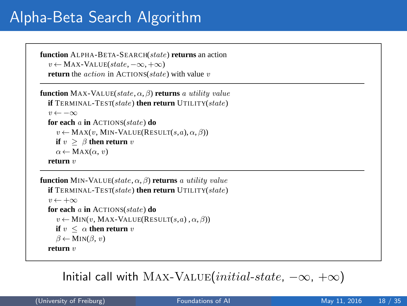## Alpha-Beta Search Algorithm

```
function ALPHA-BETA-SEARCH(state) returns an action
v \leftarrow \text{MAX-VALUE}(state, -\infty, +\infty)return the action in ACTIONS(state) with value v
```

```
function MAX-VALUE(state, \alpha, β) returns a utility value
if TERMINAL-TEST(state) then return UTILITY(state)
 v \leftarrow -\inftyfor each a in ACTIONS(state) do
    v \leftarrow \text{MAX}(v, \text{MIN-VALUE}(\text{RESULT}(s, a), \alpha, \beta))if v > \beta then return v
   \alpha \leftarrow \text{MAX}(\alpha, v)return v
```

```
function MIN-VALUE(state, \alpha, \beta) returns a utility value
if TERMINAL-TEST(state) then return UTILITY(state)
 v \leftarrow +\inftyfor each a in ACTIONS(state) do
    v \leftarrow \text{MIN}(v, \text{MAX-VALUE}(\text{RESULT}(s, a), \alpha, \beta))if v \leq \alpha then return v
   \beta \leftarrow \text{MIN}(\beta, v)return v
```
#### $\textsf{Initial call with MAX-VALUE} (initial-state, -\infty, +\infty)$ MINIMAX functions in Figure **??**, except for the two lines in each of MIN-VALUE and MAX-VALUE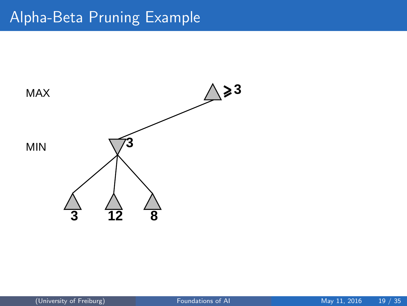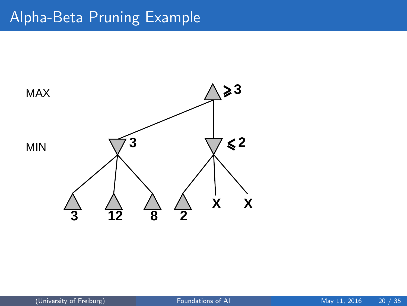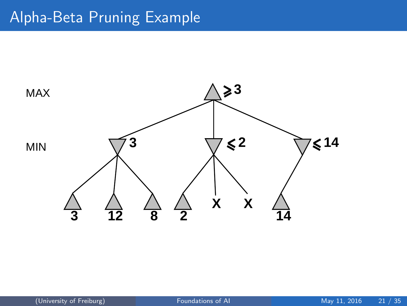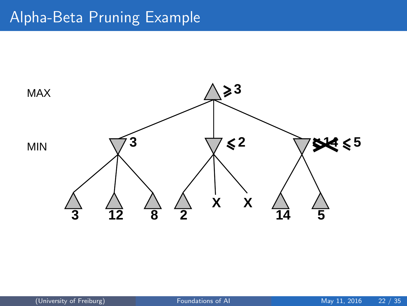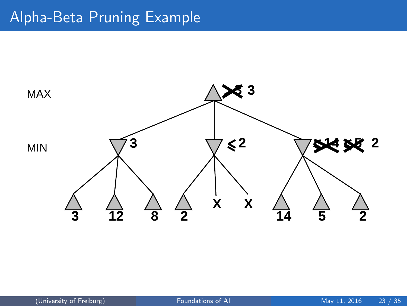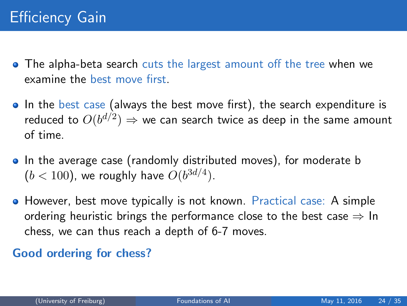- The alpha-beta search cuts the largest amount off the tree when we examine the best move first.
- In the best case (always the best move first), the search expenditure is reduced to  $O(b^{d/2}) \Rightarrow$  we can search twice as deep in the same amount of time.
- In the average case (randomly distributed moves), for moderate b  $(b < 100)$ , we roughly have  $O(b^{3d/4})$ .
- However, best move typically is not known. Practical case: A simple ordering heuristic brings the performance close to the best case  $\Rightarrow$  In chess, we can thus reach a depth of 6-7 moves.

#### Good ordering for chess?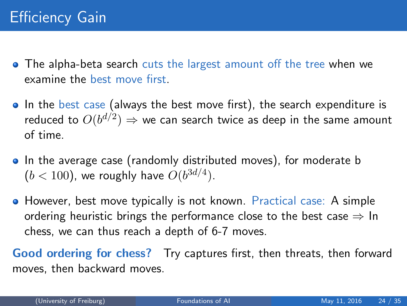- The alpha-beta search cuts the largest amount off the tree when we examine the best move first.
- In the best case (always the best move first), the search expenditure is reduced to  $O(b^{d/2}) \Rightarrow$  we can search twice as deep in the same amount of time.
- In the average case (randomly distributed moves), for moderate b  $(b < 100)$ , we roughly have  $O(b^{3d/4})$ .
- However, best move typically is not known. Practical case: A simple ordering heuristic brings the performance close to the best case  $\Rightarrow$  In chess, we can thus reach a depth of 6-7 moves.

Good ordering for chess? Try captures first, then threats, then forward moves, then backward moves.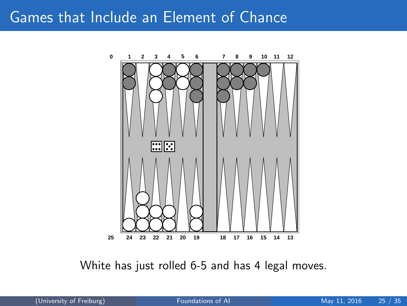#### <span id="page-27-0"></span>Games that Include an Element of Chance



White has just rolled 6-5 and has 4 legal moves.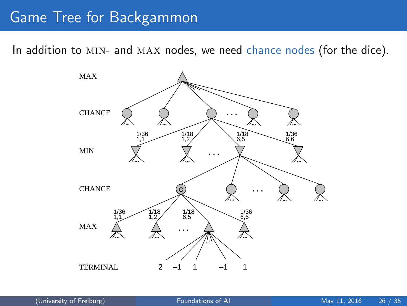#### Game Tree for Backgammon

In addition to MIN- and MAX nodes, we need chance nodes (for the dice).

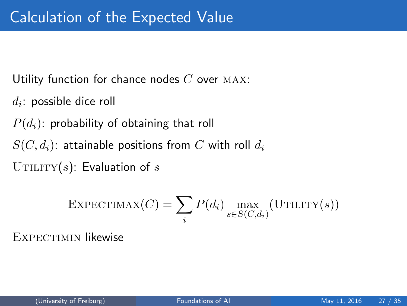Utility function for chance nodes  $C$  over MAX:

 $d_i$ : possible dice roll

 $P(d_i)$ : probability of obtaining that roll

 $S(C, d_i)$ : attainable positions from C with roll  $d_i$ 

UTILITY(s): Evaluation of s

$$
\text{EXPECTIMAX}(C) = \sum_{i} P(d_i) \max_{s \in S(C, d_i)} (\text{UTILITY}(s))
$$

EXPECTIMIN likewise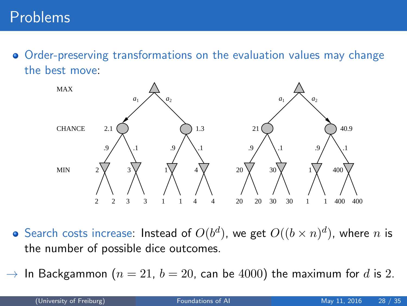Order-preserving transformations on the evaluation values may change the best move:



- Search costs increase: Instead of  $O(b^d)$ , we get  $O((b \times n)^d)$ , where  $n$  is the number of possible dice outcomes.
- $\rightarrow$  In Backgammon ( $n = 21$ ,  $b = 20$ , can be 4000) the maximum for d is 2.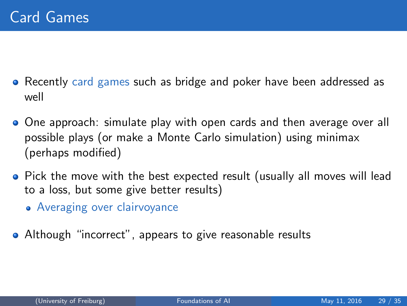- Recently card games such as bridge and poker have been addressed as well
- One approach: simulate play with open cards and then average over all possible plays (or make a Monte Carlo simulation) using minimax (perhaps modified)
- Pick the move with the best expected result (usually all moves will lead to a loss, but some give better results)
	- Averaging over clairvoyance
- Although "incorrect", appears to give reasonable results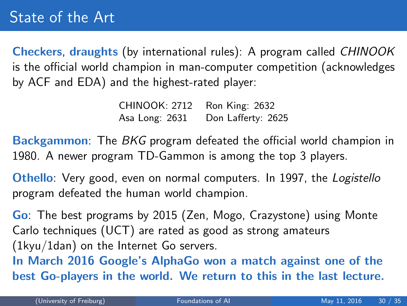<span id="page-32-0"></span>Checkers, draughts (by international rules): A program called CHINOOK is the official world champion in man-computer competition (acknowledges by ACF and EDA) and the highest-rated player:

> CHINOOK: 2712 Ron King: 2632 Asa Long: 2631 Don Lafferty: 2625

Backgammon: The BKG program defeated the official world champion in 1980. A newer program TD-Gammon is among the top 3 players.

Othello: Very good, even on normal computers. In 1997, the Logistello program defeated the human world champion.

Go: The best programs by 2015 (Zen, Mogo, Crazystone) using Monte Carlo techniques (UCT) are rated as good as strong amateurs (1kyu/1dan) on the Internet Go servers.

In March 2016 Google's AlphaGo won a match against one of the best Go-players in the world. We return to this in the last lecture.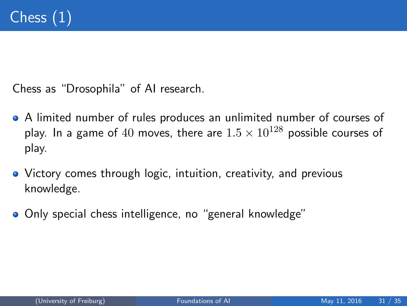Chess as "Drosophila" of AI research.

- A limited number of rules produces an unlimited number of courses of play. In a game of 40 moves, there are  $1.5 \times 10^{128}$  possible courses of play.
- Victory comes through logic, intuition, creativity, and previous knowledge.
- **Only special chess intelligence, no "general knowledge"**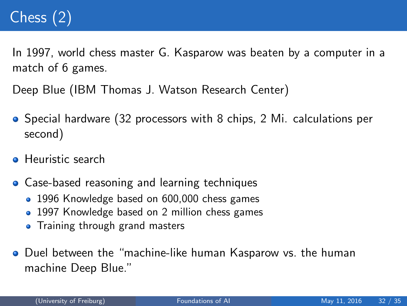# Chess (2)

In 1997, world chess master G. Kasparow was beaten by a computer in a match of 6 games.

Deep Blue (IBM Thomas J. Watson Research Center)

- Special hardware (32 processors with 8 chips, 2 Mi. calculations per second)
- **A** Heuristic search
- **Case-based reasoning and learning techniques** 
	- 1996 Knowledge based on 600,000 chess games
	- 1997 Knowledge based on 2 million chess games
	- Training through grand masters
- Duel between the "machine-like human Kasparow vs. the human machine Deep Blue."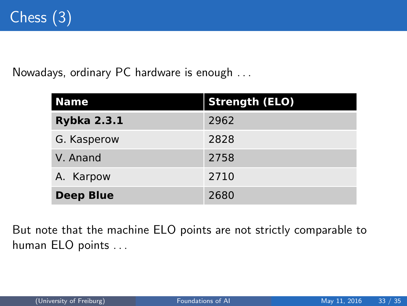Nowadays, ordinary PC hardware is enough . . .

| <b>Name</b>        | <b>Strength (ELO)</b> |
|--------------------|-----------------------|
| <b>Rybka 2.3.1</b> | 2962                  |
| G. Kasperow        | 2828                  |
| V. Anand           | 2758                  |
| A. Karpow          | 2710                  |
| <b>Deep Blue</b>   | 2680                  |

 $\mathsf{human}\ \mathsf{ELO}\ \mathsf{points}\ \ldots$ But note that the machine ELO points are not strictly comparable to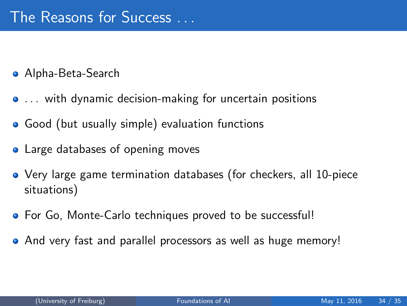- Alpha-Beta-Search
- ... with dynamic decision-making for uncertain positions
- Good (but usually simple) evaluation functions
- Large databases of opening moves
- Very large game termination databases (for checkers, all 10-piece situations)
- **•** For Go, Monte-Carlo techniques proved to be successful!
- And very fast and parallel processors as well as huge memory!